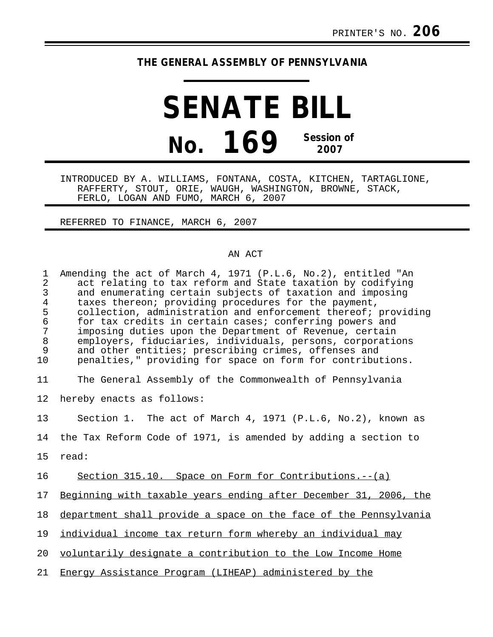## **THE GENERAL ASSEMBLY OF PENNSYLVANIA**

## **SENATE BILL No. 169 Session of 2007**

INTRODUCED BY A. WILLIAMS, FONTANA, COSTA, KITCHEN, TARTAGLIONE, RAFFERTY, STOUT, ORIE, WAUGH, WASHINGTON, BROWNE, STACK, FERLO, LOGAN AND FUMO, MARCH 6, 2007

REFERRED TO FINANCE, MARCH 6, 2007

## AN ACT

| $\mathbf 1$<br>$\overline{2}$<br>3<br>$\overline{4}$<br>5<br>$\epsilon$<br>7<br>$\, 8$<br>9<br>10 | Amending the act of March 4, 1971 (P.L.6, No.2), entitled "An<br>act relating to tax reform and State taxation by codifying<br>and enumerating certain subjects of taxation and imposing<br>taxes thereon; providing procedures for the payment,<br>collection, administration and enforcement thereof; providing<br>for tax credits in certain cases; conferring powers and<br>imposing duties upon the Department of Revenue, certain<br>employers, fiduciaries, individuals, persons, corporations<br>and other entities; prescribing crimes, offenses and<br>penalties," providing for space on form for contributions. |
|---------------------------------------------------------------------------------------------------|-----------------------------------------------------------------------------------------------------------------------------------------------------------------------------------------------------------------------------------------------------------------------------------------------------------------------------------------------------------------------------------------------------------------------------------------------------------------------------------------------------------------------------------------------------------------------------------------------------------------------------|
| 11                                                                                                | The General Assembly of the Commonwealth of Pennsylvania                                                                                                                                                                                                                                                                                                                                                                                                                                                                                                                                                                    |
| 12                                                                                                | hereby enacts as follows:                                                                                                                                                                                                                                                                                                                                                                                                                                                                                                                                                                                                   |
| 13                                                                                                | Section 1. The act of March 4, 1971 (P.L.6, No.2), known as                                                                                                                                                                                                                                                                                                                                                                                                                                                                                                                                                                 |
| 14                                                                                                | the Tax Reform Code of 1971, is amended by adding a section to                                                                                                                                                                                                                                                                                                                                                                                                                                                                                                                                                              |
| 15                                                                                                | read:                                                                                                                                                                                                                                                                                                                                                                                                                                                                                                                                                                                                                       |
| 16                                                                                                | Section 315.10. Space on Form for Contributions.--(a)                                                                                                                                                                                                                                                                                                                                                                                                                                                                                                                                                                       |
| 17                                                                                                | Beginning with taxable years ending after December 31, 2006, the                                                                                                                                                                                                                                                                                                                                                                                                                                                                                                                                                            |
| 18                                                                                                | department shall provide a space on the face of the Pennsylvania                                                                                                                                                                                                                                                                                                                                                                                                                                                                                                                                                            |
| 19                                                                                                | individual income tax return form whereby an individual may                                                                                                                                                                                                                                                                                                                                                                                                                                                                                                                                                                 |
| 20                                                                                                | voluntarily designate a contribution to the Low Income Home                                                                                                                                                                                                                                                                                                                                                                                                                                                                                                                                                                 |
| 21                                                                                                | Energy Assistance Program (LIHEAP) administered by the                                                                                                                                                                                                                                                                                                                                                                                                                                                                                                                                                                      |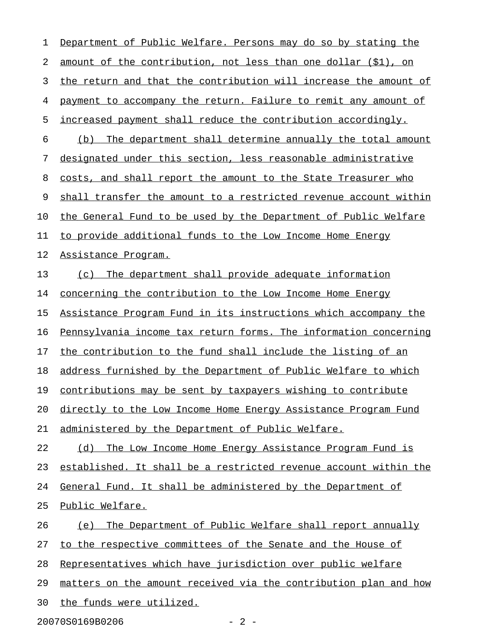1 Department of Public Welfare. Persons may do so by stating the 2 amount of the contribution, not less than one dollar (\$1), on 3 the return and that the contribution will increase the amount of 4 payment to accompany the return. Failure to remit any amount of 5 increased payment shall reduce the contribution accordingly. 6 (b) The department shall determine annually the total amount 7 designated under this section, less reasonable administrative 8 costs, and shall report the amount to the State Treasurer who 9 shall transfer the amount to a restricted revenue account within 10 the General Fund to be used by the Department of Public Welfare 11 to provide additional funds to the Low Income Home Energy 12 Assistance Program. 13 (c) The department shall provide adequate information 14 concerning the contribution to the Low Income Home Energy 15 Assistance Program Fund in its instructions which accompany the 16 Pennsylvania income tax return forms. The information concerning 17 the contribution to the fund shall include the listing of an 18 address furnished by the Department of Public Welfare to which 19 contributions may be sent by taxpayers wishing to contribute 20 directly to the Low Income Home Energy Assistance Program Fund 21 administered by the Department of Public Welfare. 22 (d) The Low Income Home Energy Assistance Program Fund is 23 established. It shall be a restricted revenue account within the 24 General Fund. It shall be administered by the Department of 25 Public Welfare. 26 (e) The Department of Public Welfare shall report annually 27 to the respective committees of the Senate and the House of 28 Representatives which have jurisdiction over public welfare 29 matters on the amount received via the contribution plan and how 30 the funds were utilized.

20070S0169B0206 - 2 -